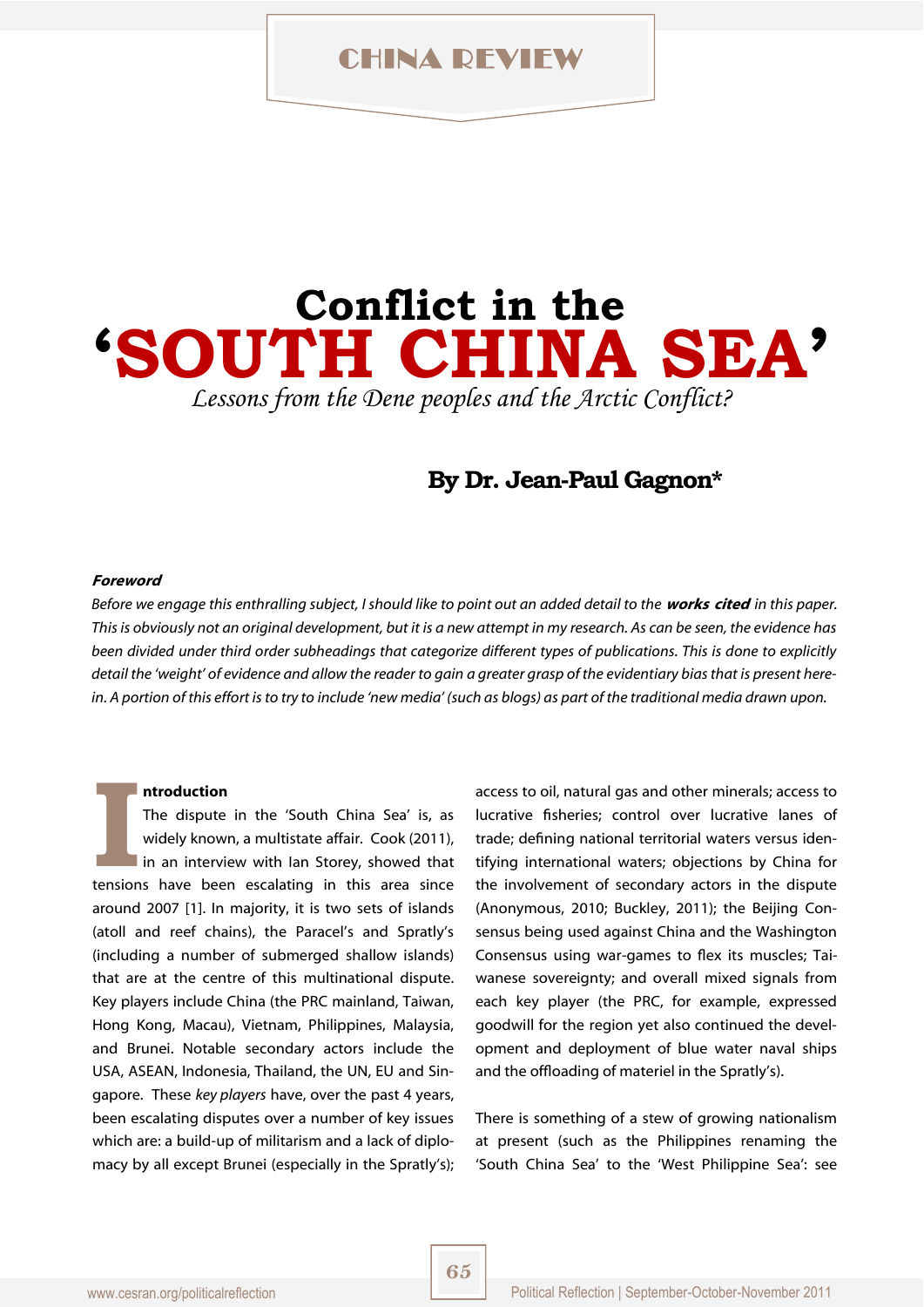## **AFRICA REVIEW** CHINA REVIEW

# **Conflict in the "SOUTH CHINA SEA"** *Lessons from the Dene peoples and the Arctic Conflict?*

### **By Dr. Jean-Paul Gagnon\***

#### **Foreword**

*Before we engage this enthralling subject, I should like to point out an added detail to the* **works cited** *in this paper. This is obviously not an original development, but it is a new attempt in my research. As can be seen, the evidence has been divided under third order subheadings that categorize different types of publications. This is done to explicitly detail the 'weight' of evidence and allow the reader to gain a greater grasp of the evidentiary bias that is present herein. A portion of this effort is to try to include 'new media' (such as blogs) as part of the traditional media drawn upon.*

#### **ntroduction**

**I** tensions have been escalating in this area since The dispute in the 'South China Sea' is, as widely known, a multistate affair. Cook (2011), in an interview with Ian Storey, showed that around 2007 [1]. In majority, it is two sets of islands (atoll and reef chains), the Paracel"s and Spratly"s (including a number of submerged shallow islands) that are at the centre of this multinational dispute. Key players include China (the PRC mainland, Taiwan, Hong Kong, Macau), Vietnam, Philippines, Malaysia, and Brunei. Notable secondary actors include the USA, ASEAN, Indonesia, Thailand, the UN, EU and Singapore. These *key players* have, over the past 4 years, been escalating disputes over a number of key issues which are: a build-up of militarism and a lack of diplomacy by all except Brunei (especially in the Spratly's);

access to oil, natural gas and other minerals; access to lucrative fisheries; control over lucrative lanes of trade; defining national territorial waters versus identifying international waters; objections by China for the involvement of secondary actors in the dispute (Anonymous, 2010; Buckley, 2011); the Beijing Consensus being used against China and the Washington Consensus using war-games to flex its muscles; Taiwanese sovereignty; and overall mixed signals from each key player (the PRC, for example, expressed goodwill for the region yet also continued the development and deployment of blue water naval ships and the offloading of materiel in the Spratly's).

There is something of a stew of growing nationalism at present (such as the Philippines renaming the 'South China Sea' to the 'West Philippine Sea': see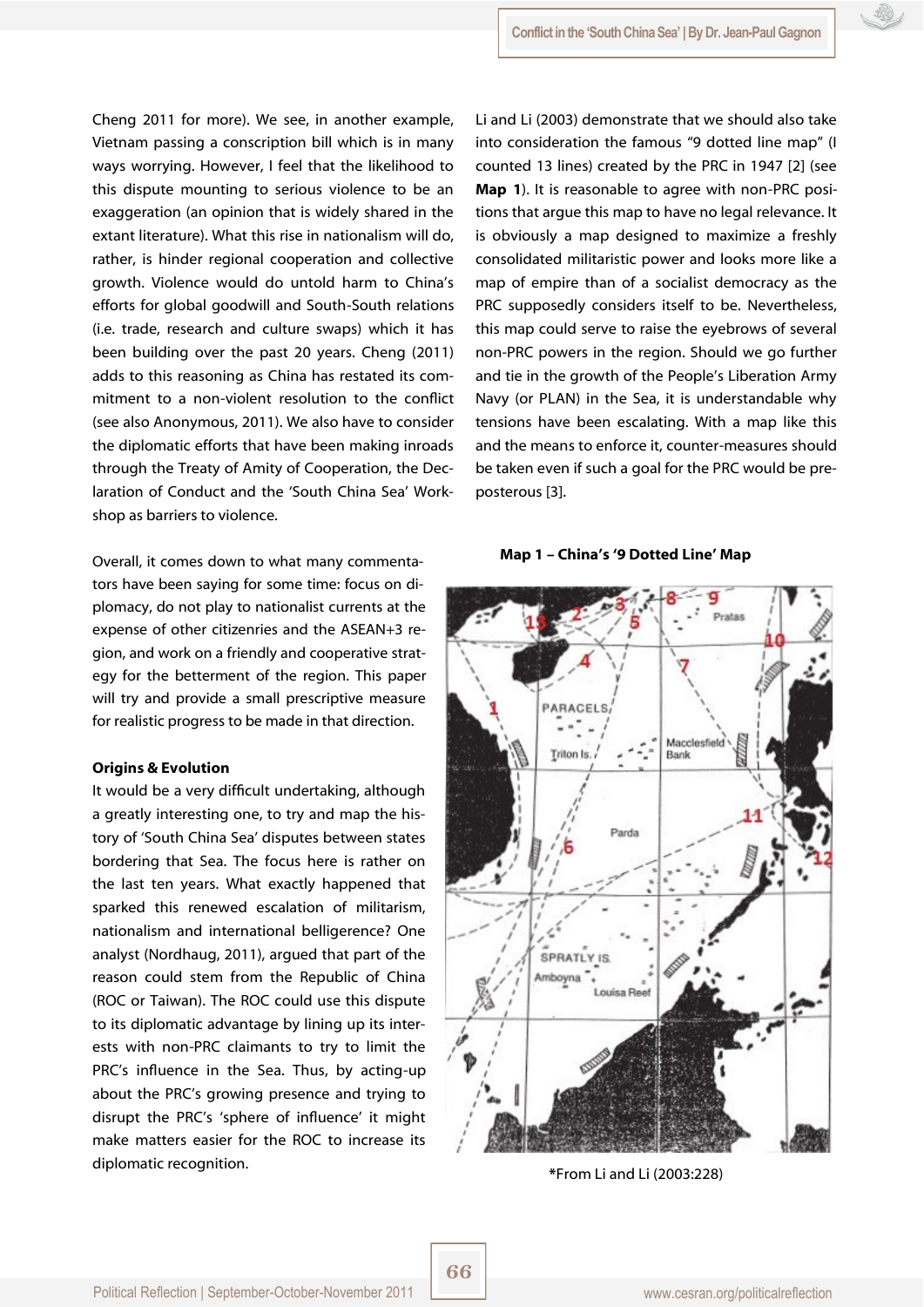Cheng 2011 for more). We see, in another example, Vietnam passing a conscription bill which is in many ways worrying. However, I feel that the likelihood to this dispute mounting to serious violence to be an exaggeration (an opinion that is widely shared in the extant literature). What this rise in nationalism will do, rather, is hinder regional cooperation and collective growth. Violence would do untold harm to China"s efforts for global goodwill and South-South relations (i.e. trade, research and culture swaps) which it has been building over the past 20 years. Cheng (2011) adds to this reasoning as China has restated its commitment to a non-violent resolution to the conflict (see also Anonymous, 2011). We also have to consider the diplomatic efforts that have been making inroads through the Treaty of Amity of Cooperation, the Declaration of Conduct and the "South China Sea" Workshop as barriers to violence.

Overall, it comes down to what many commentators have been saying for some time: focus on diplomacy, do not play to nationalist currents at the expense of other citizenries and the ASEAN+3 region, and work on a friendly and cooperative strategy for the betterment of the region. This paper will try and provide a small prescriptive measure for realistic progress to be made in that direction.

#### **Origins & Evolution**

It would be a very difficult undertaking, although a greatly interesting one, to try and map the history of 'South China Sea' disputes between states bordering that Sea. The focus here is rather on the last ten years. What exactly happened that sparked this renewed escalation of militarism, nationalism and international belligerence? One analyst (Nordhaug, 2011), argued that part of the reason could stem from the Republic of China (ROC or Taiwan). The ROC could use this dispute to its diplomatic advantage by lining up its interests with non-PRC claimants to try to limit the PRC's influence in the Sea. Thus, by acting-up about the PRC"s growing presence and trying to disrupt the PRC's 'sphere of influence' it might make matters easier for the ROC to increase its diplomatic recognition.

Li and Li (2003) demonstrate that we should also take into consideration the famous "9 dotted line map" (I counted 13 lines) created by the PRC in 1947 [2] (see **Map 1**). It is reasonable to agree with non-PRC positions that argue this map to have no legal relevance. It is obviously a map designed to maximize a freshly consolidated militaristic power and looks more like a map of empire than of a socialist democracy as the PRC supposedly considers itself to be. Nevertheless, this map could serve to raise the eyebrows of several non-PRC powers in the region. Should we go further and tie in the growth of the People's Liberation Army Navy (or PLAN) in the Sea, it is understandable why tensions have been escalating. With a map like this and the means to enforce it, counter-measures should be taken even if such a goal for the PRC would be preposterous [3].





**\***From Li and Li (2003:228)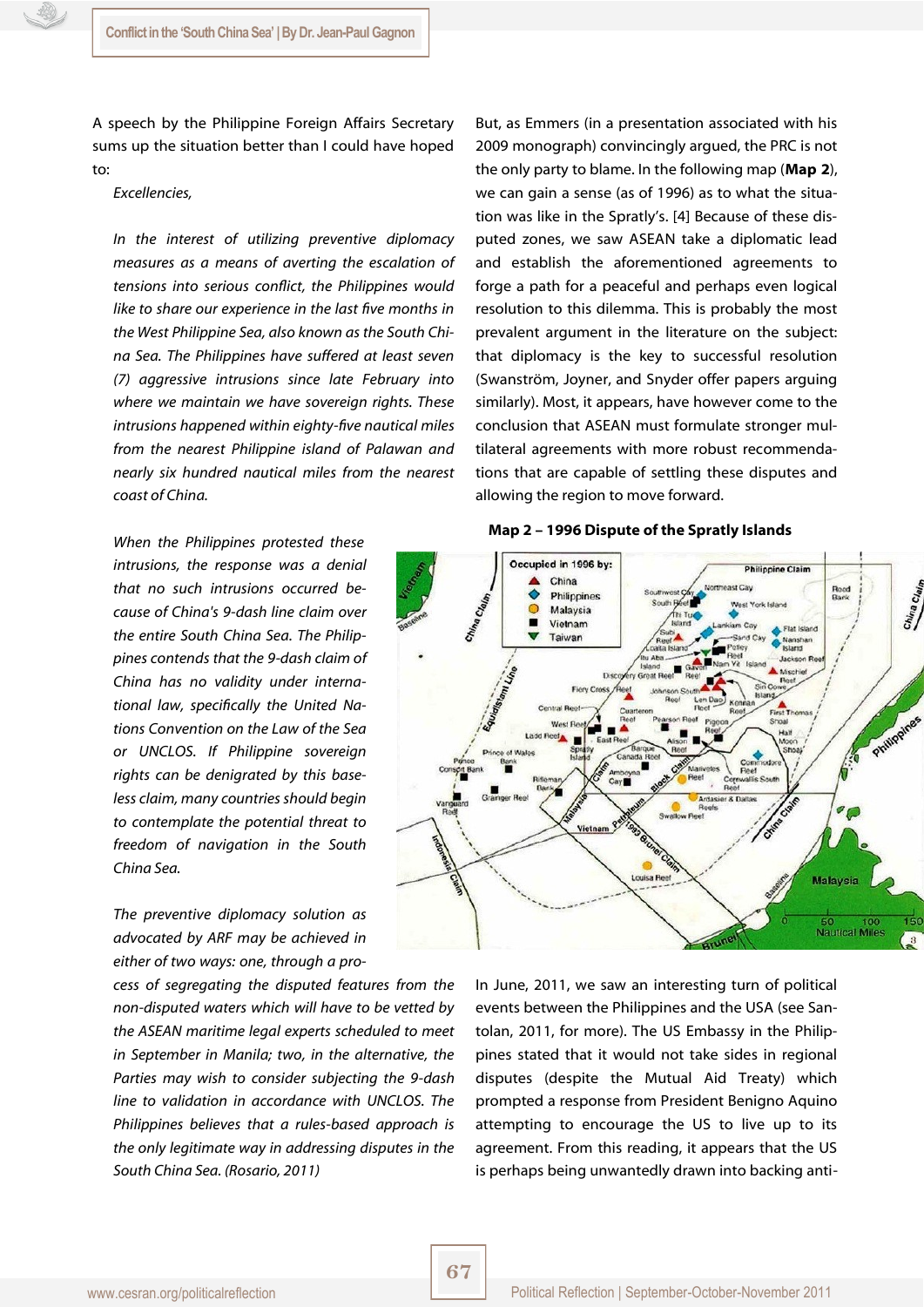A speech by the Philippine Foreign Affairs Secretary sums up the situation better than I could have hoped to:

*Excellencies,*

*In the interest of utilizing preventive diplomacy measures as a means of averting the escalation of tensions into serious conflict, the Philippines would like to share our experience in the last five months in the West Philippine Sea, also known as the South China Sea. The Philippines have suffered at least seven (7) aggressive intrusions since late February into where we maintain we have sovereign rights. These intrusions happened within eighty-five nautical miles from the nearest Philippine island of Palawan and nearly six hundred nautical miles from the nearest coast of China.*

*When the Philippines protested these intrusions, the response was a denial that no such intrusions occurred because of China's 9-dash line claim over the entire South China Sea. The Philippines contends that the 9-dash claim of China has no validity under international law, specifically the United Nations Convention on the Law of the Sea or UNCLOS. If Philippine sovereign rights can be denigrated by this baseless claim, many countries should begin to contemplate the potential threat to freedom of navigation in the South China Sea.*

*The preventive diplomacy solution as advocated by ARF may be achieved in either of two ways: one, through a pro-*

*cess of segregating the disputed features from the non-disputed waters which will have to be vetted by the ASEAN maritime legal experts scheduled to meet in September in Manila; two, in the alternative, the Parties may wish to consider subjecting the 9-dash line to validation in accordance with UNCLOS. The Philippines believes that a rules-based approach is the only legitimate way in addressing disputes in the South China Sea. (Rosario, 2011)*

But, as Emmers (in a presentation associated with his 2009 monograph) convincingly argued, the PRC is not the only party to blame. In the following map (**Map 2**), we can gain a sense (as of 1996) as to what the situation was like in the Spratly"s. [4] Because of these disputed zones, we saw ASEAN take a diplomatic lead and establish the aforementioned agreements to forge a path for a peaceful and perhaps even logical resolution to this dilemma. This is probably the most prevalent argument in the literature on the subject: that diplomacy is the key to successful resolution (Swanström, Joyner, and Snyder offer papers arguing similarly). Most, it appears, have however come to the conclusion that ASEAN must formulate stronger multilateral agreements with more robust recommendations that are capable of settling these disputes and allowing the region to move forward.

#### **Map 2 – 1996 Dispute of the Spratly Islands**



In June, 2011, we saw an interesting turn of political events between the Philippines and the USA (see Santolan, 2011, for more). The US Embassy in the Philippines stated that it would not take sides in regional disputes (despite the Mutual Aid Treaty) which prompted a response from President Benigno Aquino attempting to encourage the US to live up to its agreement. From this reading, it appears that the US is perhaps being unwantedly drawn into backing anti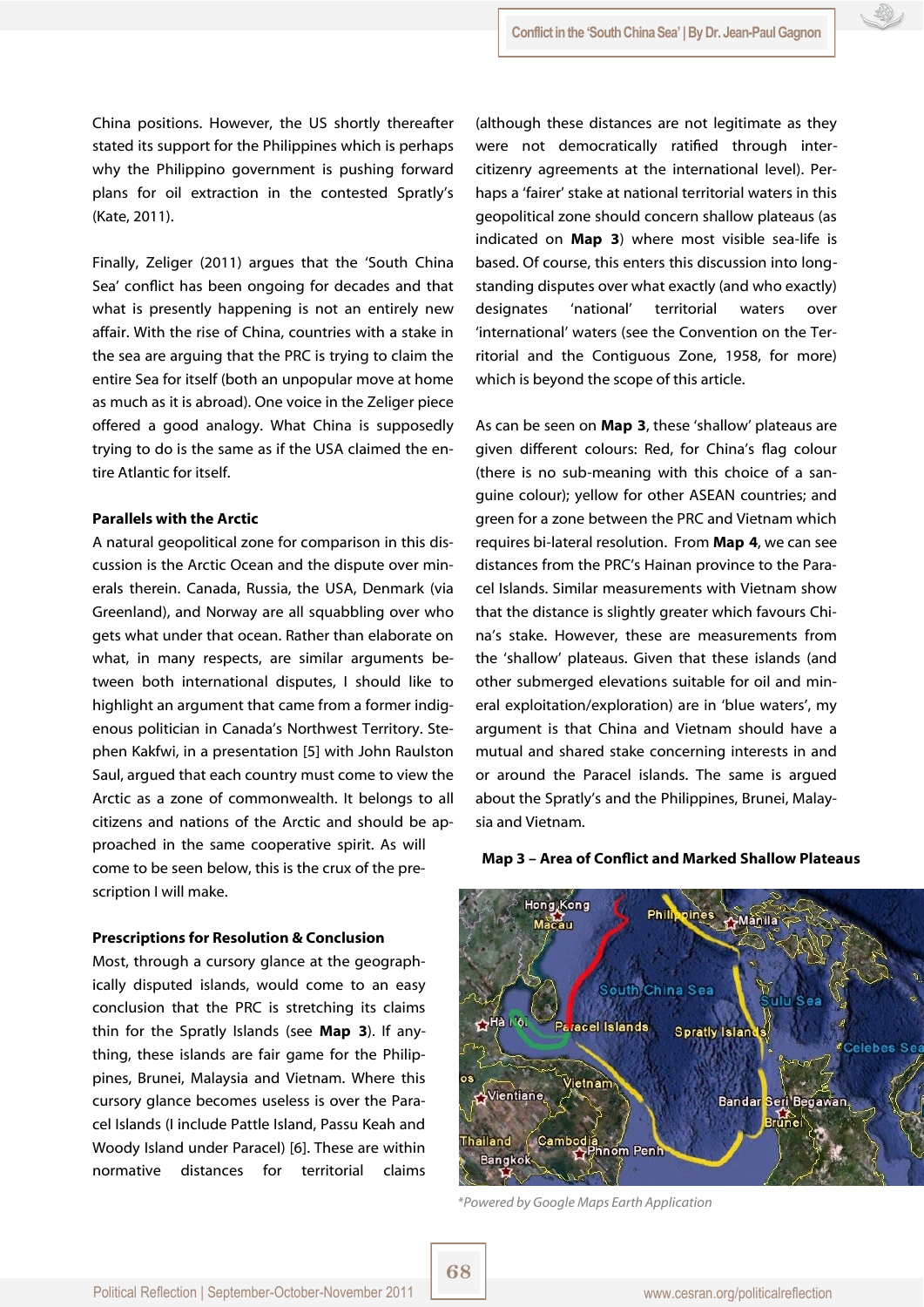China positions. However, the US shortly thereafter stated its support for the Philippines which is perhaps why the Philippino government is pushing forward plans for oil extraction in the contested Spratly"s (Kate, 2011).

Finally, Zeliger (2011) argues that the "South China Sea" conflict has been ongoing for decades and that what is presently happening is not an entirely new affair. With the rise of China, countries with a stake in the sea are arguing that the PRC is trying to claim the entire Sea for itself (both an unpopular move at home as much as it is abroad). One voice in the Zeliger piece offered a good analogy. What China is supposedly trying to do is the same as if the USA claimed the entire Atlantic for itself.

#### **Parallels with the Arctic**

A natural geopolitical zone for comparison in this discussion is the Arctic Ocean and the dispute over minerals therein. Canada, Russia, the USA, Denmark (via Greenland), and Norway are all squabbling over who gets what under that ocean. Rather than elaborate on what, in many respects, are similar arguments between both international disputes, I should like to highlight an argument that came from a former indigenous politician in Canada"s Northwest Territory. Stephen Kakfwi, in a presentation [5] with John Raulston Saul, argued that each country must come to view the Arctic as a zone of commonwealth. It belongs to all citizens and nations of the Arctic and should be approached in the same cooperative spirit. As will come to be seen below, this is the crux of the prescription I will make.

#### **Prescriptions for Resolution & Conclusion**

Most, through a cursory glance at the geographically disputed islands, would come to an easy conclusion that the PRC is stretching its claims thin for the Spratly Islands (see **Map 3**). If anything, these islands are fair game for the Philippines, Brunei, Malaysia and Vietnam. Where this cursory glance becomes useless is over the Paracel Islands (I include Pattle Island, Passu Keah and Woody Island under Paracel) [6]. These are within normative distances for territorial claims

(although these distances are not legitimate as they were not democratically ratified through intercitizenry agreements at the international level). Perhaps a "fairer" stake at national territorial waters in this geopolitical zone should concern shallow plateaus (as indicated on **Map 3**) where most visible sea-life is based. Of course, this enters this discussion into longstanding disputes over what exactly (and who exactly) designates "national" territorial waters over "international" waters (see the Convention on the Territorial and the Contiguous Zone, 1958, for more) which is beyond the scope of this article.

As can be seen on **Map 3**, these "shallow" plateaus are given different colours: Red, for China's flag colour (there is no sub-meaning with this choice of a sanguine colour); yellow for other ASEAN countries; and green for a zone between the PRC and Vietnam which requires bi-lateral resolution. From **Map 4**, we can see distances from the PRC"s Hainan province to the Paracel Islands. Similar measurements with Vietnam show that the distance is slightly greater which favours China"s stake. However, these are measurements from the "shallow" plateaus. Given that these islands (and other submerged elevations suitable for oil and mineral exploitation/exploration) are in 'blue waters', my argument is that China and Vietnam should have a mutual and shared stake concerning interests in and or around the Paracel islands. The same is argued about the Spratly"s and the Philippines, Brunei, Malaysia and Vietnam.

#### **Map 3 – Area of Conflict and Marked Shallow Plateaus**



*\*Powered by Google Maps Earth Application*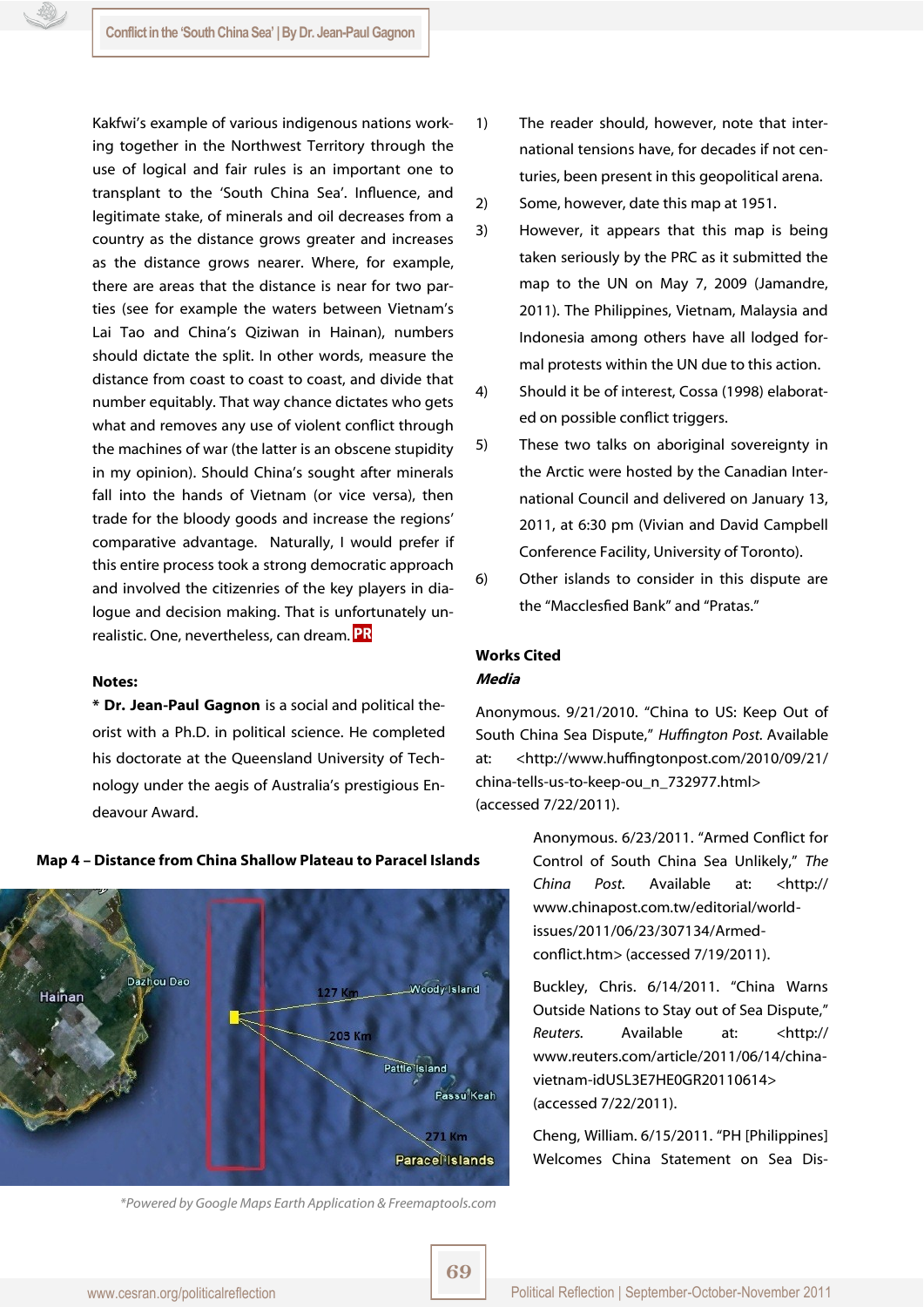Kakfwi"s example of various indigenous nations working together in the Northwest Territory through the use of logical and fair rules is an important one to transplant to the 'South China Sea'. Influence, and legitimate stake, of minerals and oil decreases from a country as the distance grows greater and increases as the distance grows nearer. Where, for example, there are areas that the distance is near for two parties (see for example the waters between Vietnam"s Lai Tao and China"s Qiziwan in Hainan), numbers should dictate the split. In other words, measure the distance from coast to coast to coast, and divide that number equitably. That way chance dictates who gets what and removes any use of violent conflict through the machines of war (the latter is an obscene stupidity in my opinion). Should China's sought after minerals fall into the hands of Vietnam (or vice versa), then trade for the bloody goods and increase the regions" comparative advantage. Naturally, I would prefer if this entire process took a strong democratic approach and involved the citizenries of the key players in dialogue and decision making. That is unfortunately unrealistic. One, nevertheless, can dream. PR

#### **Notes:**

**\* Dr. Jean-Paul Gagnon** is a social and political theorist with a Ph.D. in political science. He completed his doctorate at the Queensland University of Technology under the aegis of Australia"s prestigious Endeavour Award.

Dazhou Dao Woody Island lainan 127 Km 203 Km Pattle Island Passu Keah **271 Km Paracellslands** 

#### **Map 4 – Distance from China Shallow Plateau to Paracel Islands**

*\*Powered by Google Maps Earth Application & Freemaptools.com*

- 1) The reader should, however, note that international tensions have, for decades if not centuries, been present in this geopolitical arena.
- 2) Some, however, date this map at 1951.
- 3) However, it appears that this map is being taken seriously by the PRC as it submitted the map to the UN on May 7, 2009 (Jamandre, 2011). The Philippines, Vietnam, Malaysia and Indonesia among others have all lodged formal protests within the UN due to this action.
- 4) Should it be of interest, Cossa (1998) elaborated on possible conflict triggers.
- 5) These two talks on aboriginal sovereignty in the Arctic were hosted by the Canadian International Council and delivered on January 13, 2011, at 6:30 pm (Vivian and David Campbell Conference Facility, University of Toronto).
- 6) Other islands to consider in this dispute are the "Macclesfied Bank" and "Pratas."

#### **Works Cited Media**

Anonymous. 9/21/2010. "China to US: Keep Out of South China Sea Dispute," *Huffington Post.* Available at: [<http://www.huffingtonpost.com/2010/09/21/](http://www.huffingtonpost.com/2010/09/21/china-tells-us-to-keep-ou_n_732977.html) china-tells-us-to-keep-[ou\\_n\\_732977.html>](http://www.huffingtonpost.com/2010/09/21/china-tells-us-to-keep-ou_n_732977.html) (accessed 7/22/2011).

> Anonymous. 6/23/2011. "Armed Conflict for Control of South China Sea Unlikely," *The China Post.* Available at: [<http://](http://www.chinapost.com.tw/editorial/world-issues/2011/06/23/307134/Armed-conflict.htm) [www.chinapost.com.tw/editorial/world](http://www.chinapost.com.tw/editorial/world-issues/2011/06/23/307134/Armed-conflict.htm)[issues/2011/06/23/307134/Armed](http://www.chinapost.com.tw/editorial/world-issues/2011/06/23/307134/Armed-conflict.htm)[conflict.htm>](http://www.chinapost.com.tw/editorial/world-issues/2011/06/23/307134/Armed-conflict.htm) (accessed 7/19/2011).

> Buckley, Chris. 6/14/2011. "China Warns Outside Nations to Stay out of Sea Dispute," *Reuters.* Available at: [<http://](http://www.reuters.com/article/2011/06/14/china-vietnam-idUSL3E7HE0GR20110614) [www.reuters.com/article/2011/06/14/china](http://www.reuters.com/article/2011/06/14/china-vietnam-idUSL3E7HE0GR20110614)vietnam-[idUSL3E7HE0GR20110614>](http://www.reuters.com/article/2011/06/14/china-vietnam-idUSL3E7HE0GR20110614)  (accessed 7/22/2011).

> Cheng, William. 6/15/2011. "PH [Philippines] Welcomes China Statement on Sea Dis